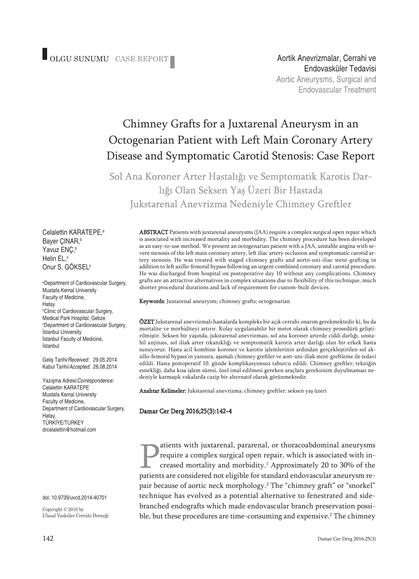Aortik Anevrizmalar, Cerrahi ve Endovasküler Tedavisi Aortic Aneurysms, Surgical and **Endovascular Treatment** 

# Chimney Grafts for a Juxtarenal Aneurysm in an Octogenarian Patient with Left Main Coronary Artery Disease and Symptomatic Carotid Stenosis: Case Report

Sol Ana Koroner Arter Hastalığı ve Semptomatik Karotis Darlığı Olan Seksen Yaş Üzeri Bir Hastada Jukstarenal Anevrizma Nedeniyle Chimney Greftler

Celalettin KARATEPE, a Bayer ÇINAR, b Yavuz ENÇ, b Helin EL, c Onur S. GÖKSEL<sup>c</sup>

a Department of Cardiovascular Surgery, Mustafa Kemal University Faculty of Medicine, Hatay b Clinic of Cardiovascular Surgery, Medical Park Hospital, Gebze c Department of Cardiovascular Surgery, İstanbul University İstanbul Faculty of Medicine, İstanbul

Geliş Tarihi/*Received:* 29.05.2014 Kabul Tarihi/*Accepted:* 28.08.2014

Yazışma Adresi/*Correspondence:* Celalettin KARATEPE Mustafa Kemal University Faculty of Medicine, Department of Cardiovascular Surgery, Hatay, TÜRKİYE/TURKEY drcelalettin@hotmail.com

doi: 10.9739/uvcd.2014-40701

Copyright © 2016 by Ulusal Vasküler Cerrahi Derneği ABSTRACT Patients with juxtarenal aneurysms (JAA) require a complex surgical open repair which is associated with increased mortality and morbidity. The chimney procedure has been developed as an easy-to-use method. We present an octogenarian patient with a JAA, unstable angina with severe stenosis of the left main coronary artery, left iliac artery occlusion and symptomatic carotid artery stenosis. He was treated with staged chimney grafts and aorto-uni-iliac stent-grafting in addition to left axillo-femoral bypass following an urgent combined coronary and carotid procedure. He was discharged from hospital on postoperative day 10 without any complications. Chimney grafts are an attractive alternatives in complex situations due to flexibility of this technique, much shorter procedural durations and lack of requirement for custom-built devices.

Keywords: Juxtarenal aneurysm; chimney grafts; octogenarian

ÖZET Jukstarenal anevrizmalı hastalarda kompleks bir açık cerrahi onarım gerekmektedir ki, bu da mortalite ve morbiditeyi artırır. Kolay uygulanabilir bir metot olarak chimney prosedürü geliştirilmiştir. Seksen bir yaşında, jukstarenal anevrizması, sol ana koroner arterde ciddi darlığı, unstabil anjinası, sol iliak arter tıkanıklığı ve semptomatik karotis arter darlığı olan bir erkek hasta sunuyoruz. Hasta acil kombine koroner ve karotis işlemlerinin ardından gerçekleştirilen sol aksillo-femoral bypass'ın yanısıra, aşamalı chimney greftler ve aort-uni-iliak stent-greftleme ile tedavi edildi. Hasta postoperatif 10. günde komplikasyonsuz taburcu edildi. Chimney greftler; tekniğin esnekliği, daha kısa işlem süresi, özel imal edilmesi gereken araçlara gereksinim duyulmaması nedeniyle karmaşık vakalarda cazip bir alternatif olarak görünmektedir.

Anahtar Kelimeler: Jukstarenal anevrizma; chimney greftler; seksen yaş üzeri

#### Damar Cer Derg 2016;25(3):142-4

atients with juxtarenal, pararenal, or thoracoabdominal aneurysms require a complex surgical open repair, which is associated with increased mortality and morbidity. <sup>1</sup> Approximately 20 to 30% of the patients are considered not eligible for standard endovascular aneurysm repair because of aortic neck morphology. <sup>2</sup> The "chimney graft" or "snorkel" technique has evolved as a potential alternative to fenestrated and sidebranched endografts which made endovascular branch preservation possible, but these procedures are time-consuming and expensive. <sup>2</sup> The chimney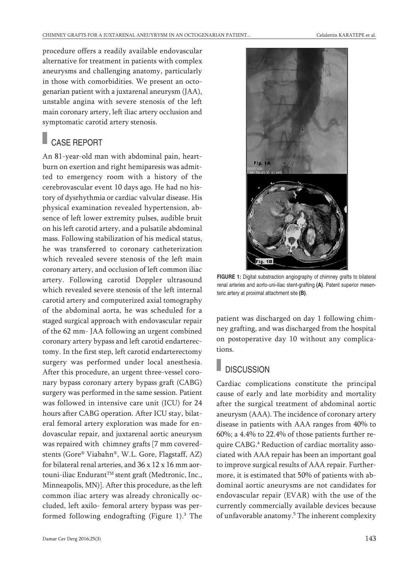procedure offers a readily available endovascular alternative for treatment in patients with complex aneurysms and challenging anatomy, particularly in those with comorbidities. We present an octogenarian patient with a juxtarenal aneurysm (JAA), unstable angina with severe stenosis of the left main coronary artery, left iliac artery occlusion and symptomatic carotid artery stenosis.

## CASE REPORT

An 81-year-old man with abdominal pain, heartburn on exertion and right hemiparesis was admitted to emergency room with a history of the cerebrovascular event 10 days ago. He had no history of dysrhythmia or cardiac valvular disease. His physical examination revealed hypertension, absence of left lower extremity pulses, audible bruit on his left carotid artery, and a pulsatile abdominal mass. Following stabilization of his medical status, he was transferred to coronary catheterization which revealed severe stenosis of the left main coronary artery, and occlusion of left common iliac artery. Following carotid Doppler ultrasound which revealed severe stenosis of the left internal carotid artery and computerized axial tomography of the abdominal aorta, he was scheduled for a staged surgical approach with endovascular repair of the 62 mm- JAA following an urgent combined coronary artery bypass and left carotid endarterectomy. In the first step, left carotid endarterectomy surgery was performed under local anesthesia. After this procedure, an urgent three-vessel coronary bypass coronary artery bypass graft (CABG) surgery was performed in the same session. Patient was followed in intensive care unit (ICU) for 24 hours after CABG operation. After ICU stay, bilateral femoral artery exploration was made for endovascular repair, and juxtarenal aortic aneurysm was repaired with chimney grafts [7 mm coveredstents (Gore® Viabahn®, W.L. Gore, Flagstaff, AZ) for bilateral renal arteries, and 36 x 12 x 16 mm aortouni-iliac Endurant TM stent graft (Medtronic, Inc., Minneapolis, MN)]. After this procedure, as the left common iliac artery was already chronically occluded, left axilo- femoral artery bypass was performed following endografting (Figure 1). <sup>3</sup> The



**FIGURE 1:** Digital substraction angiography of chimney grafts to bilateral renal arteries and aorto-uni-iliac stent-grafting **(A)**. Patent superior mesenteric artery at proximal attachment site **(B)**.

patient was discharged on day 1 following chimney grafting, and was discharged from the hospital on postoperative day 10 without any complications.

### **DISCUSSION**

Cardiac complications constitute the principal cause of early and late morbidity and mortality after the surgical treatment of abdominal aortic aneurysm (AAA). The incidence of coronary artery disease in patients with AAA ranges from 40% to 60%; a 4.4% to 22.4% of those patients further require CABG. <sup>4</sup> Reduction of cardiac mortality associated with AAA repair has been an important goal to improve surgical results of AAA repair. Furthermore, it is estimated that 50% of patients with abdominal aortic aneurysms are not candidates for endovascular repair (EVAR) with the use of the currently commercially available devices because of unfavorable anatomy. <sup>5</sup> The inherent complexity